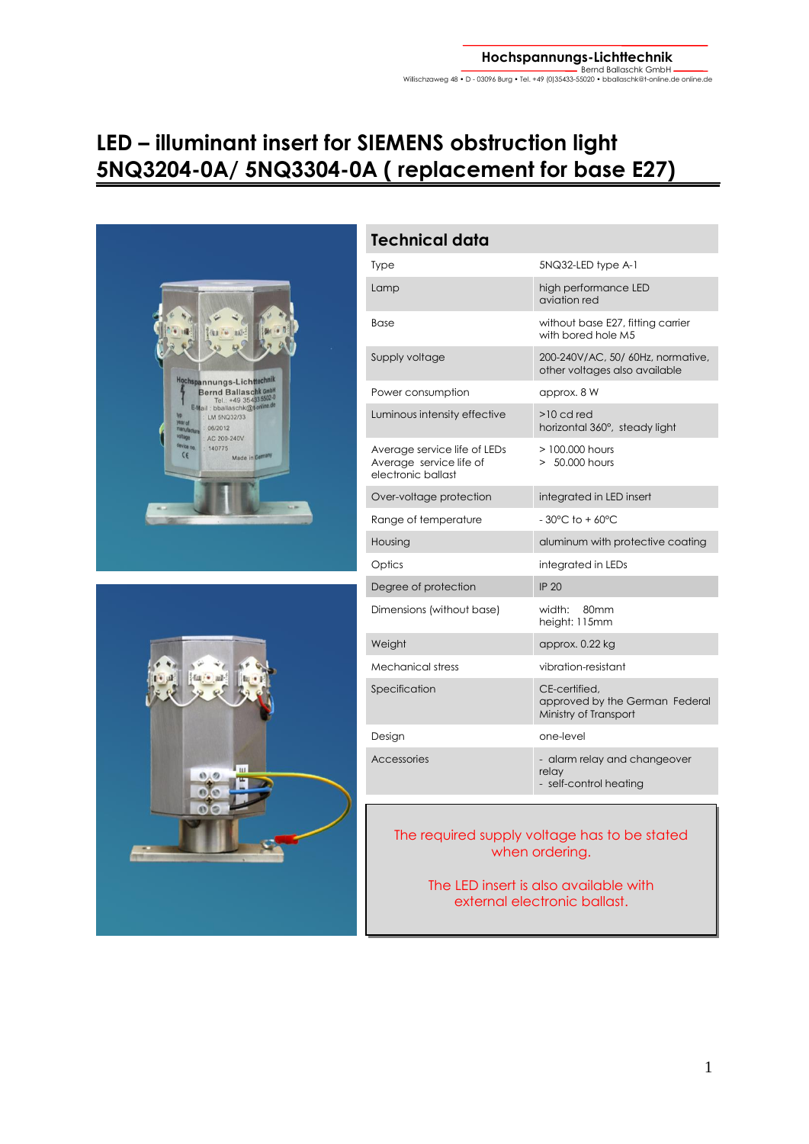## **LED – illuminant insert for SIEMENS obstruction light 5NQ3204-0A/ 5NQ3304-0A ( replacement for base E27)**





| <b>Technical data</b>                                                         |                                                                          |  |  |
|-------------------------------------------------------------------------------|--------------------------------------------------------------------------|--|--|
| Type                                                                          | 5NQ32-LED type A-1                                                       |  |  |
| Lamp                                                                          | high performance LED<br>aviation red                                     |  |  |
| <b>Base</b>                                                                   | without base E27, fitting carrier<br>with bored hole M5                  |  |  |
| Supply voltage                                                                | 200-240V/AC, 50/60Hz, normative,<br>other voltages also available        |  |  |
| Power consumption                                                             | approx. 8 W                                                              |  |  |
| Luminous intensity effective                                                  | $>10$ cd red<br>horizontal 360°, steady light                            |  |  |
| Average service life of LEDs<br>Average service life of<br>electronic ballast | $>100.000$ hours<br>$>50.000$ hours                                      |  |  |
| Over-voltage protection                                                       | integrated in LED insert                                                 |  |  |
| Range of temperature                                                          | $-30^{\circ}$ C to $+60^{\circ}$ C                                       |  |  |
| Housing                                                                       | aluminum with protective coating                                         |  |  |
| Optics                                                                        | integrated in LEDs                                                       |  |  |
| Degree of protection                                                          | <b>IP 20</b>                                                             |  |  |
| Dimensions (without base)                                                     | width:<br>80 <sub>mm</sub><br>height: 115mm                              |  |  |
| Weight                                                                        | approx. 0.22 kg                                                          |  |  |
| Mechanical stress                                                             | vibration-resistant                                                      |  |  |
| Specification                                                                 | CE-certified,<br>approved by the German Federal<br>Ministry of Transport |  |  |
| Design                                                                        | one-level                                                                |  |  |
| Accessories                                                                   | - alarm relay and changeover<br>relay<br>- self-control heating          |  |  |

## The required supply voltage has to be stated when ordering.

The LED insert is also available with external electronic ballast.